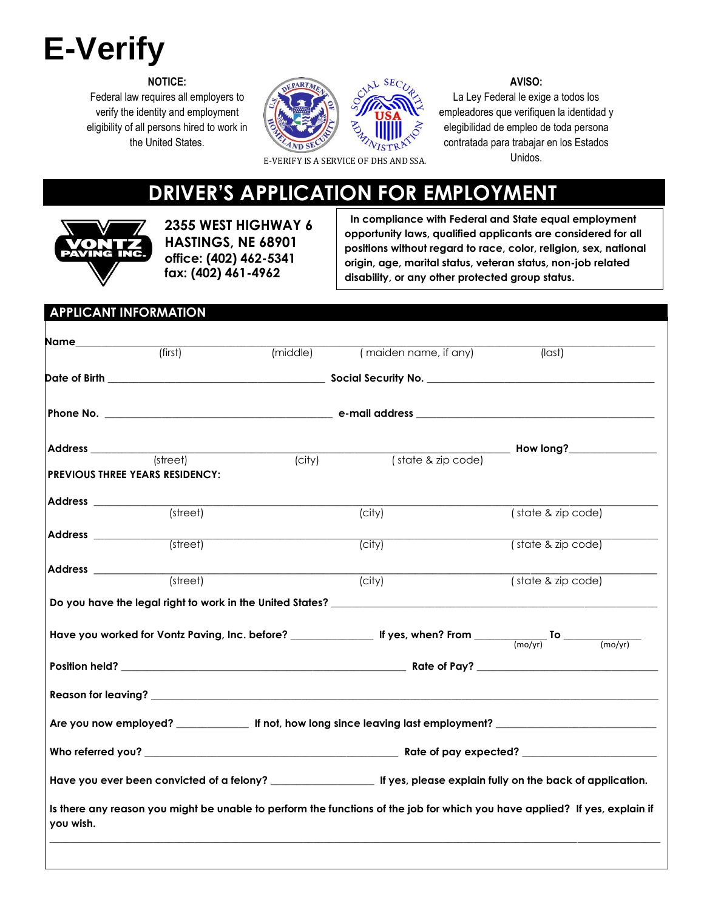# **E-Verify**

**NOTICE:**

Federal law requires all employers to verify the identity and employment eligibility of all persons hired to work in the United States.





#### **AVISO:**

La Ley Federal le exige a todos los empleadores que verifiquen la identidad y elegibilidad de empleo de toda persona contratada para trabajar en los Estados <sup>E</sup> Unidos. -VERIFY IS A SERVICE OF DHS AND SSA.

## **DRIVER'S APPLICATION FOR EMPLOYMENT**



**2355 WEST HIGHWAY 6 HASTINGS, NE 68901 office: (402) 462-5341 fax: (402) 461-4962**

 **In compliance with Federal and State equal employment opportunity laws, qualified applicants are considered for all positions without regard to race, color, religion, sex, national origin, age, marital status, veteran status, non-job related disability, or any other protected group status.**

## **APPLICANT INFORMATION Name\_\_\_\_\_\_\_\_\_\_\_\_\_\_\_\_\_\_\_\_\_\_\_\_\_\_\_\_\_\_\_\_\_\_\_\_\_\_\_\_\_\_\_\_\_\_\_\_\_\_\_\_\_\_\_\_\_\_\_\_\_\_\_\_\_\_\_\_\_\_\_\_\_\_\_\_\_\_\_\_\_\_\_\_\_\_\_\_\_\_\_\_\_\_\_\_\_\_\_\_\_\_\_\_\_\_\_\_\_\_\_\_ Date of Birth \_\_\_\_\_\_\_\_\_\_\_\_\_\_\_\_\_\_\_\_\_\_\_\_\_\_\_\_\_\_\_\_\_\_\_\_\_\_\_\_\_\_ Social Security No. \_\_\_\_\_\_\_\_\_\_\_\_\_\_\_\_\_\_\_\_\_\_\_\_\_\_\_\_\_\_\_\_\_\_\_\_\_\_\_\_\_\_\_\_ Phone No. \_\_\_\_\_\_\_\_\_\_\_\_\_\_\_\_\_\_\_\_\_\_\_\_\_\_\_\_\_\_\_\_\_\_\_\_\_\_\_\_\_\_\_\_ e-mail address \_\_\_\_\_\_\_\_\_\_\_\_\_\_\_\_\_\_\_\_\_\_\_\_\_\_\_\_\_\_\_\_\_\_\_\_\_\_\_\_\_\_\_\_\_\_ Address \_\_\_\_\_\_\_\_\_\_\_\_\_\_\_\_\_\_\_\_\_\_\_\_\_\_\_\_\_\_\_\_\_\_\_\_\_\_\_\_\_\_\_\_\_\_\_\_\_\_\_\_\_\_\_\_\_\_\_\_\_\_\_\_\_\_\_\_\_\_\_\_\_\_\_\_\_\_\_\_\_ How long?\_\_\_\_\_\_\_\_\_\_\_\_\_\_\_\_\_ PREVIOUS THREE YEARS RESIDENCY: Address \_\_\_\_\_\_\_\_\_\_\_\_\_\_\_\_\_\_\_\_\_\_\_\_\_\_\_\_\_\_\_\_\_\_\_\_\_\_\_\_\_\_\_\_\_\_\_\_\_\_\_\_\_\_\_\_\_\_\_\_\_\_\_\_\_\_\_\_\_\_\_\_\_\_\_\_\_\_\_\_\_\_\_\_\_\_\_\_\_\_\_\_\_\_\_\_\_\_\_\_\_\_\_\_\_\_\_\_\_ Address \_\_\_\_\_\_\_\_\_\_\_\_\_\_\_\_\_\_\_\_\_\_\_\_\_\_\_\_\_\_\_\_\_\_\_\_\_\_\_\_\_\_\_\_\_\_\_\_\_\_\_\_\_\_\_\_\_\_\_\_\_\_\_\_\_\_\_\_\_\_\_\_\_\_\_\_\_\_\_\_\_\_\_\_\_\_\_\_\_\_\_\_\_\_\_\_\_\_\_\_\_\_\_\_\_\_\_\_\_ Address \_\_\_\_\_\_\_\_\_\_\_\_\_\_\_\_\_\_\_\_\_\_\_\_\_\_\_\_\_\_\_\_\_\_\_\_\_\_\_\_\_\_\_\_\_\_\_\_\_\_\_\_\_\_\_\_\_\_\_\_\_\_\_\_\_\_\_\_\_\_\_\_\_\_\_\_\_\_\_\_\_\_\_\_\_\_\_\_\_\_\_\_\_\_\_\_\_\_** Do you have the legal right to work in the United States? \_\_\_\_\_\_\_\_\_\_ **Have you worked for Vontz Paving, Inc. before? \_\_\_\_\_\_\_\_\_\_\_\_\_\_\_\_ If yes, when? From \_\_\_\_\_\_\_\_\_\_\_\_\_\_ To \_\_\_\_\_\_\_\_\_\_\_\_\_\_\_ Position held? \_\_\_\_\_\_\_\_\_\_\_\_\_\_\_\_\_\_\_\_\_\_\_\_\_\_\_\_\_\_\_\_\_\_\_\_\_\_\_\_\_\_\_\_\_\_\_\_\_\_\_\_\_\_\_ Rate of Pay? \_\_\_\_\_\_\_\_\_\_\_\_\_\_\_\_\_\_\_\_\_\_\_\_\_\_\_\_\_\_\_\_\_\_\_ Reason for leaving? \_\_\_\_\_\_\_\_\_\_\_\_\_\_\_\_\_\_\_\_\_\_\_\_\_\_\_\_\_\_\_\_\_\_\_\_\_\_\_\_\_\_\_\_\_\_\_\_\_\_\_\_\_\_\_\_\_\_\_\_\_\_\_\_\_\_\_\_\_\_\_\_\_\_\_\_\_\_\_\_\_\_\_\_\_\_\_\_\_\_\_\_\_\_\_\_\_\_ Are you now employed? \_\_\_\_\_\_\_\_\_\_\_\_\_\_ If not, how long since leaving last employment? \_\_\_\_\_\_\_\_\_\_\_\_\_\_\_\_\_\_\_\_\_\_\_\_\_\_\_\_\_\_\_ Who referred you? \_\_\_\_\_\_\_\_\_\_\_\_\_\_\_\_\_\_\_\_\_\_\_\_\_\_\_\_\_\_\_\_\_\_\_\_\_\_\_\_\_\_\_\_\_\_\_\_\_ Rate of pay expected? \_\_\_\_\_\_\_\_\_\_\_\_\_\_\_\_\_\_\_\_\_\_\_\_\_\_ Have you ever been convicted of a felony? \_\_\_\_\_\_\_\_\_\_\_\_\_\_\_\_\_\_\_\_ If yes, please explain fully on the back of application.**  Is there any reason you might be unable to perform the functions of the job for which you have applied? If yes, explain if **you wish.**   $\Box$ (first) (middle) (maiden name, if any) (last) (state & zip code) (state & zip code) (mo/yr) (mo/yr) (state & zip code) (state & zip code)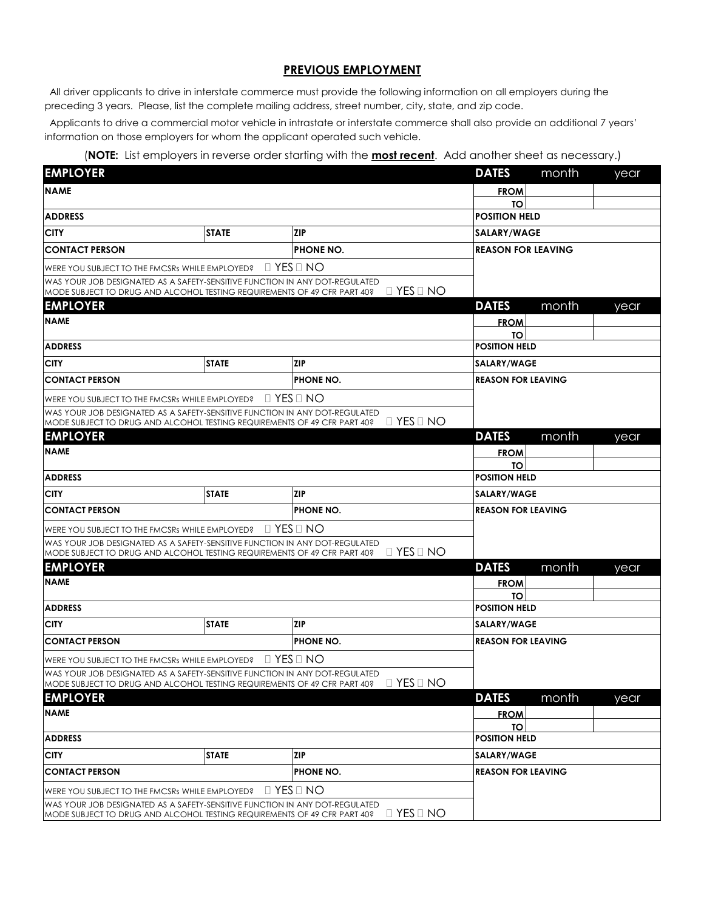#### **PREVIOUS EMPLOYMENT**

All driver applicants to drive in interstate commerce must provide the following information on all employers during the preceding 3 years. Please, list the complete mailing address, street number, city, state, and zip code.

Applicants to drive a commercial motor vehicle in intrastate or interstate commerce shall also provide an additional 7 years' information on those employers for whom the applicant operated such vehicle.

#### (**NOTE:** List employers in reverse order starting with the **most recent**. Add another sheet as necessary.)

| <b>EMPLOYER</b>                                                                             |              |                                                                                                                                                                                 | <b>DATES</b><br>month     | year |  |
|---------------------------------------------------------------------------------------------|--------------|---------------------------------------------------------------------------------------------------------------------------------------------------------------------------------|---------------------------|------|--|
| <b>NAME</b>                                                                                 |              |                                                                                                                                                                                 | <b>FROM</b>               |      |  |
|                                                                                             |              |                                                                                                                                                                                 | TΟ                        |      |  |
| <b>ADDRESS</b>                                                                              |              |                                                                                                                                                                                 | <b>POSITION HELD</b>      |      |  |
| <b>CITY</b>                                                                                 | <b>STATE</b> | <b>ZIP</b>                                                                                                                                                                      | <b>SALARY/WAGE</b>        |      |  |
| <b>CONTACT PERSON</b><br><b>PHONE NO.</b>                                                   |              |                                                                                                                                                                                 | <b>REASON FOR LEAVING</b> |      |  |
| WERE YOU SUBJECT TO THE FMCSRs WHILE EMPLOYED?                                              |              | $\Box$ YES $\Box$ NO                                                                                                                                                            |                           |      |  |
|                                                                                             |              | WAS YOUR JOB DESIGNATED AS A SAFETY-SENSITIVE FUNCTION IN ANY DOT-REGULATED<br>$\Box$ YES $\Box$ NO<br>MODE SUBJECT TO DRUG AND ALCOHOL TESTING REQUIREMENTS OF 49 CFR PART 40? |                           |      |  |
| <b>EMPLOYER</b>                                                                             |              |                                                                                                                                                                                 | <b>DATES</b><br>month     | year |  |
| <b>NAME</b>                                                                                 |              |                                                                                                                                                                                 | <b>FROM</b>               |      |  |
|                                                                                             |              |                                                                                                                                                                                 | TO                        |      |  |
| <b>ADDRESS</b>                                                                              |              |                                                                                                                                                                                 | <b>POSITION HELD</b>      |      |  |
| <b>CITY</b>                                                                                 | <b>STATE</b> | <b>ZIP</b>                                                                                                                                                                      | <b>SALARY/WAGE</b>        |      |  |
| <b>CONTACT PERSON</b>                                                                       |              | PHONE NO.                                                                                                                                                                       | <b>REASON FOR LEAVING</b> |      |  |
| WERE YOU SUBJECT TO THE FMCSRs WHILE EMPLOYED? $\Box$ YES $\Box$ NO                         |              |                                                                                                                                                                                 |                           |      |  |
|                                                                                             |              | WAS YOUR JOB DESIGNATED AS A SAFETY-SENSITIVE FUNCTION IN ANY DOT-REGULATED                                                                                                     |                           |      |  |
| MODE SUBJECT TO DRUG AND ALCOHOL TESTING REQUIREMENTS OF 49 CFR PART 40?<br><b>EMPLOYER</b> |              | $\Box$ YES $\Box$ NO                                                                                                                                                            | <b>DATES</b><br>month     |      |  |
| <b>NAME</b>                                                                                 |              |                                                                                                                                                                                 |                           | year |  |
|                                                                                             |              |                                                                                                                                                                                 | <b>FROM</b><br><b>TO</b>  |      |  |
| <b>ADDRESS</b>                                                                              |              |                                                                                                                                                                                 | <b>POSITION HELD</b>      |      |  |
| <b>CITY</b>                                                                                 | <b>STATE</b> | <b>ZIP</b>                                                                                                                                                                      | SALARY/WAGE               |      |  |
| <b>CONTACT PERSON</b>                                                                       |              | <b>PHONE NO.</b>                                                                                                                                                                | <b>REASON FOR LEAVING</b> |      |  |
| WERE YOU SUBJECT TO THE FMCSRs WHILE EMPLOYED?                                              |              | $\Box$ Yes $\Box$ No                                                                                                                                                            |                           |      |  |
|                                                                                             |              | WAS YOUR JOB DESIGNATED AS A SAFETY-SENSITIVE FUNCTION IN ANY DOT-REGULATED<br>$\Box$ YES $\Box$ NO<br>MODE SUBJECT TO DRUG AND ALCOHOL TESTING REQUIREMENTS OF 49 CFR PART 40? |                           |      |  |
| <b>EMPLOYER</b>                                                                             |              |                                                                                                                                                                                 | <b>DATES</b><br>month     | year |  |
| <b>NAME</b>                                                                                 |              |                                                                                                                                                                                 | <b>FROM</b>               |      |  |
|                                                                                             |              |                                                                                                                                                                                 | TO                        |      |  |
| <b>ADDRESS</b>                                                                              |              |                                                                                                                                                                                 | <b>POSITION HELD</b>      |      |  |
| <b>CITY</b>                                                                                 | <b>STATE</b> | <b>ZIP</b>                                                                                                                                                                      | SALARY/WAGE               |      |  |
| <b>CONTACT PERSON</b>                                                                       |              | <b>PHONE NO.</b>                                                                                                                                                                | <b>REASON FOR LEAVING</b> |      |  |
| WERE YOU SUBJECT TO THE FMCSRs WHILE EMPLOYED?                                              |              | $\Box$ Yes $\Box$ No                                                                                                                                                            |                           |      |  |
| MODE SUBJECT TO DRUG AND ALCOHOL TESTING REQUIREMENTS OF 49 CFR PART 40?                    |              | WAS YOUR JOB DESIGNATED AS A SAFETY-SENSITIVE FUNCTION IN ANY DOT-REGULATED<br>$\Box$ Yes $\Box$ No                                                                             |                           |      |  |
| <b>EMPLOYER</b>                                                                             |              |                                                                                                                                                                                 | <b>DATES</b><br>month     | vear |  |
| <b>NAME</b>                                                                                 |              |                                                                                                                                                                                 | <b>FROM</b>               |      |  |
|                                                                                             |              |                                                                                                                                                                                 | TO                        |      |  |
| <b>ADDRESS</b>                                                                              |              |                                                                                                                                                                                 | <b>POSITION HELD</b>      |      |  |
| <b>CITY</b>                                                                                 | <b>STATE</b> | <b>ZIP</b>                                                                                                                                                                      | <b>SALARY/WAGE</b>        |      |  |
| <b>CONTACT PERSON</b><br>PHONE NO.                                                          |              |                                                                                                                                                                                 | <b>REASON FOR LEAVING</b> |      |  |
| WERE YOU SUBJECT TO THE FMCSRs WHILE EMPLOYED?                                              |              | $\Box$ YES $\Box$ NO                                                                                                                                                            |                           |      |  |
| MODE SUBJECT TO DRUG AND ALCOHOL TESTING REQUIREMENTS OF 49 CFR PART 40?                    |              | WAS YOUR JOB DESIGNATED AS A SAFETY-SENSITIVE FUNCTION IN ANY DOT-REGULATED<br>$\Box$ YES $\Box$ NO                                                                             |                           |      |  |